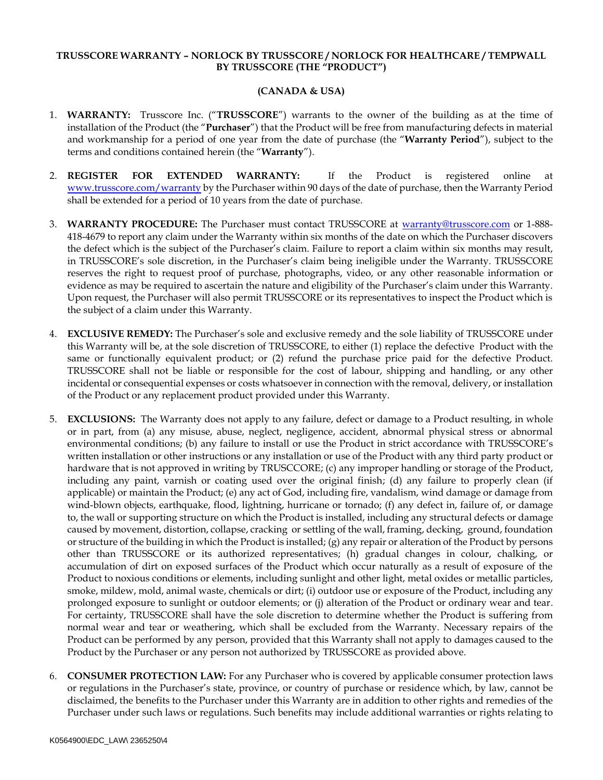## **TRUSSCORE WARRANTY – NORLOCK BY TRUSSCORE / NORLOCK FOR HEALTHCARE / TEMPWALL BY TRUSSCORE (THE "PRODUCT")**

## **(CANADA & USA)**

- 1. **WARRANTY:** Trusscore Inc. ("**TRUSSCORE**") warrants to the owner of the building as at the time of installation of the Product (the "**Purchaser**") that the Product will be free from manufacturing defects in material and workmanship for a period of one year from the date of purchase (the "**Warranty Period**"), subject to the terms and conditions contained herein (the "**Warranty**").
- 2. **REGISTER FOR EXTENDED WARRANTY:** If the Product is registered online at [www.trusscore.com/warranty](http://www.trusscore.com/warranty) by the Purchaser within 90 days of the date of purchase, then the Warranty Period shall be extended for a period of 10 years from the date of purchase.
- 3. **WARRANTY PROCEDURE:** The Purchaser must contact TRUSSCORE at [warranty@trusscore.com](mailto:warranty@trusscore.com) or 1-888- 418-4679 to report any claim under the Warranty within six months of the date on which the Purchaser discovers the defect which is the subject of the Purchaser's claim. Failure to report a claim within six months may result, in TRUSSCORE's sole discretion, in the Purchaser's claim being ineligible under the Warranty. TRUSSCORE reserves the right to request proof of purchase, photographs, video, or any other reasonable information or evidence as may be required to ascertain the nature and eligibility of the Purchaser's claim under this Warranty. Upon request, the Purchaser will also permit TRUSSCORE or its representatives to inspect the Product which is the subject of a claim under this Warranty.
- 4. **EXCLUSIVE REMEDY:** The Purchaser's sole and exclusive remedy and the sole liability of TRUSSCORE under this Warranty will be, at the sole discretion of TRUSSCORE, to either (1) replace the defective Product with the same or functionally equivalent product; or (2) refund the purchase price paid for the defective Product. TRUSSCORE shall not be liable or responsible for the cost of labour, shipping and handling, or any other incidental or consequential expenses or costs whatsoever in connection with the removal, delivery, or installation of the Product or any replacement product provided under this Warranty.
- 5. **EXCLUSIONS:** The Warranty does not apply to any failure, defect or damage to a Product resulting, in whole or in part, from (a) any misuse, abuse, neglect, negligence, accident, abnormal physical stress or abnormal environmental conditions; (b) any failure to install or use the Product in strict accordance with TRUSSCORE's written installation or other instructions or any installation or use of the Product with any third party product or hardware that is not approved in writing by TRUSCCORE; (c) any improper handling or storage of the Product, including any paint, varnish or coating used over the original finish; (d) any failure to properly clean (if applicable) or maintain the Product; (e) any act of God, including fire, vandalism, wind damage or damage from wind-blown objects, earthquake, flood, lightning, hurricane or tornado; (f) any defect in, failure of, or damage to, the wall or supporting structure on which the Product is installed, including any structural defects or damage caused by movement, distortion, collapse, cracking or settling of the wall, framing, decking, ground, foundation or structure of the building in which the Product is installed; (g) any repair or alteration of the Product by persons other than TRUSSCORE or its authorized representatives; (h) gradual changes in colour, chalking, or accumulation of dirt on exposed surfaces of the Product which occur naturally as a result of exposure of the Product to noxious conditions or elements, including sunlight and other light, metal oxides or metallic particles, smoke, mildew, mold, animal waste, chemicals or dirt; (i) outdoor use or exposure of the Product, including any prolonged exposure to sunlight or outdoor elements; or (j) alteration of the Product or ordinary wear and tear. For certainty, TRUSSCORE shall have the sole discretion to determine whether the Product is suffering from normal wear and tear or weathering, which shall be excluded from the Warranty. Necessary repairs of the Product can be performed by any person, provided that this Warranty shall not apply to damages caused to the Product by the Purchaser or any person not authorized by TRUSSCORE as provided above.
- 6. **CONSUMER PROTECTION LAW:** For any Purchaser who is covered by applicable consumer protection laws or regulations in the Purchaser's state, province, or country of purchase or residence which, by law, cannot be disclaimed, the benefits to the Purchaser under this Warranty are in addition to other rights and remedies of the Purchaser under such laws or regulations. Such benefits may include additional warranties or rights relating to